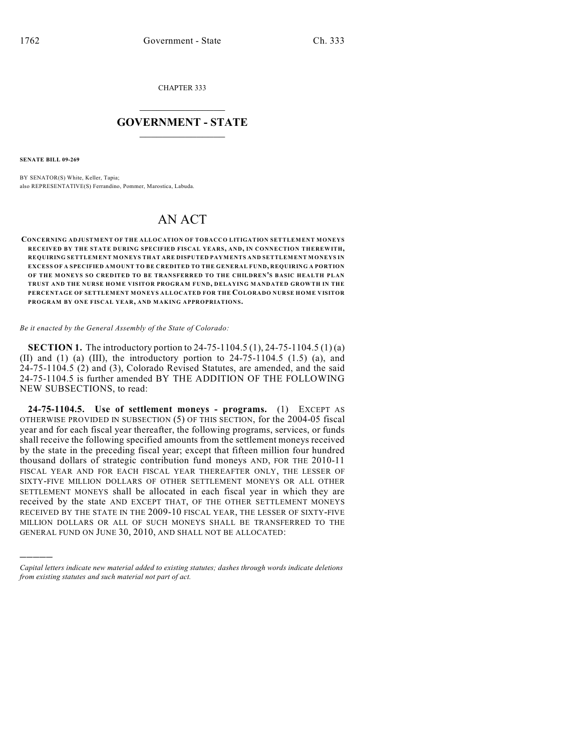CHAPTER 333

## $\overline{\phantom{a}}$  . The set of the set of the set of the set of the set of the set of the set of the set of the set of the set of the set of the set of the set of the set of the set of the set of the set of the set of the set o **GOVERNMENT - STATE**  $\_$

**SENATE BILL 09-269**

)))))

BY SENATOR(S) White, Keller, Tapia; also REPRESENTATIVE(S) Ferrandino, Pommer, Marostica, Labuda.

## AN ACT

## **CONCERNING ADJUSTMENT OF THE ALLOCATION OF TOBACCO LITIGATION SETTLEMENT MONEYS RECEIVED BY THE STATE DURING SPECIFIED FISCAL YEARS, AND, IN CONNECTION THEREWITH, REQUIRING SETTLEMENT MONEYS THAT ARE DISPUTED PAYMENTS AND SETTLEMENT MONEYS IN EXCESS OF A SPECIFIED AMOUNT TO BE CREDITED TO THE GENERAL FUND, REQUIRING A PORTION OF THE MONEYS SO CREDITED TO BE TRANSFERRED TO THE CHILDREN'S BASIC HEALTH PLAN TRUST AND THE NURSE HOME VISITOR PROGRAM FUND, DELAYING MANDATED GROWTH IN THE PERCENTAGE OF SETTLEMENT MONEYS ALLOCATED FOR THE COLORADO NURSE HOME VISITOR PROGRAM BY ONE FISCAL YEAR, AND MAKING APPROPRIATIONS.**

*Be it enacted by the General Assembly of the State of Colorado:*

**SECTION 1.** The introductory portion to 24-75-1104.5 (1), 24-75-1104.5 (1) (a) (II) and (1) (a) (III), the introductory portion to  $24-75-1104.5$  (1.5) (a), and 24-75-1104.5 (2) and (3), Colorado Revised Statutes, are amended, and the said 24-75-1104.5 is further amended BY THE ADDITION OF THE FOLLOWING NEW SUBSECTIONS, to read:

**24-75-1104.5. Use of settlement moneys - programs.** (1) EXCEPT AS OTHERWISE PROVIDED IN SUBSECTION (5) OF THIS SECTION, for the 2004-05 fiscal year and for each fiscal year thereafter, the following programs, services, or funds shall receive the following specified amounts from the settlement moneys received by the state in the preceding fiscal year; except that fifteen million four hundred thousand dollars of strategic contribution fund moneys AND, FOR THE 2010-11 FISCAL YEAR AND FOR EACH FISCAL YEAR THEREAFTER ONLY, THE LESSER OF SIXTY-FIVE MILLION DOLLARS OF OTHER SETTLEMENT MONEYS OR ALL OTHER SETTLEMENT MONEYS shall be allocated in each fiscal year in which they are received by the state AND EXCEPT THAT, OF THE OTHER SETTLEMENT MONEYS RECEIVED BY THE STATE IN THE 2009-10 FISCAL YEAR, THE LESSER OF SIXTY-FIVE MILLION DOLLARS OR ALL OF SUCH MONEYS SHALL BE TRANSFERRED TO THE GENERAL FUND ON JUNE 30, 2010, AND SHALL NOT BE ALLOCATED:

*Capital letters indicate new material added to existing statutes; dashes through words indicate deletions from existing statutes and such material not part of act.*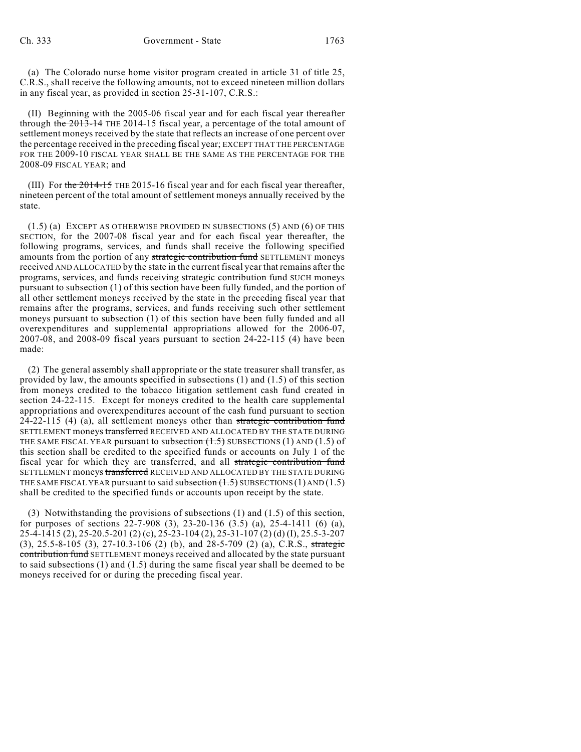(a) The Colorado nurse home visitor program created in article 31 of title 25, C.R.S., shall receive the following amounts, not to exceed nineteen million dollars in any fiscal year, as provided in section 25-31-107, C.R.S.:

(II) Beginning with the 2005-06 fiscal year and for each fiscal year thereafter through the 2013-14 THE 2014-15 fiscal year, a percentage of the total amount of settlement moneys received by the state that reflects an increase of one percent over the percentage received in the preceding fiscal year; EXCEPT THAT THE PERCENTAGE FOR THE 2009-10 FISCAL YEAR SHALL BE THE SAME AS THE PERCENTAGE FOR THE 2008-09 FISCAL YEAR; and

(III) For the  $2014-15$  THE 2015-16 fiscal year and for each fiscal year thereafter, nineteen percent of the total amount of settlement moneys annually received by the state.

(1.5) (a) EXCEPT AS OTHERWISE PROVIDED IN SUBSECTIONS (5) AND (6) OF THIS SECTION, for the 2007-08 fiscal year and for each fiscal year thereafter, the following programs, services, and funds shall receive the following specified amounts from the portion of any strategic contribution fund SETTLEMENT moneys received AND ALLOCATED by the state in the current fiscal year that remains after the programs, services, and funds receiving strategic contribution fund SUCH moneys pursuant to subsection (1) of this section have been fully funded, and the portion of all other settlement moneys received by the state in the preceding fiscal year that remains after the programs, services, and funds receiving such other settlement moneys pursuant to subsection (1) of this section have been fully funded and all overexpenditures and supplemental appropriations allowed for the 2006-07, 2007-08, and 2008-09 fiscal years pursuant to section 24-22-115 (4) have been made:

(2) The general assembly shall appropriate or the state treasurer shall transfer, as provided by law, the amounts specified in subsections (1) and (1.5) of this section from moneys credited to the tobacco litigation settlement cash fund created in section 24-22-115. Except for moneys credited to the health care supplemental appropriations and overexpenditures account of the cash fund pursuant to section  $24-22-115$  (4) (a), all settlement moneys other than strategic contribution fund SETTLEMENT moneys transferred RECEIVED AND ALLOCATED BY THE STATE DURING THE SAME FISCAL YEAR pursuant to subsection  $(1.5)$  SUBSECTIONS  $(1)$  AND  $(1.5)$  of this section shall be credited to the specified funds or accounts on July 1 of the fiscal year for which they are transferred, and all strategic contribution fund SETTLEMENT moneys transferred RECEIVED AND ALLOCATED BY THE STATE DURING THE SAME FISCAL YEAR pursuant to said subsection  $(1.5)$  SUBSECTIONS (1) AND (1.5) shall be credited to the specified funds or accounts upon receipt by the state.

(3) Notwithstanding the provisions of subsections (1) and (1.5) of this section, for purposes of sections 22-7-908 (3), 23-20-136 (3.5) (a), 25-4-1411 (6) (a), 25-4-1415 (2), 25-20.5-201 (2) (c), 25-23-104 (2), 25-31-107 (2) (d) (I), 25.5-3-207 (3), 25.5-8-105 (3), 27-10.3-106 (2) (b), and 28-5-709 (2) (a), C.R.S., strategic contribution fund SETTLEMENT moneys received and allocated by the state pursuant to said subsections (1) and (1.5) during the same fiscal year shall be deemed to be moneys received for or during the preceding fiscal year.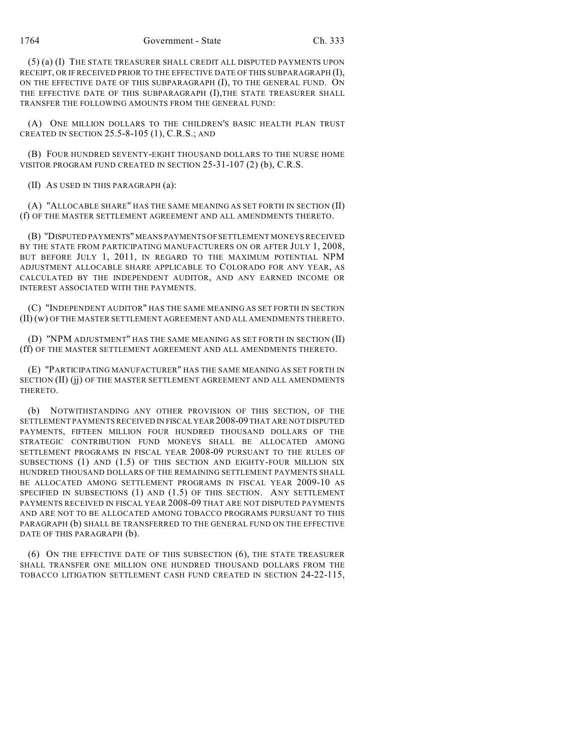(5) (a) (I) THE STATE TREASURER SHALL CREDIT ALL DISPUTED PAYMENTS UPON RECEIPT, OR IF RECEIVED PRIOR TO THE EFFECTIVE DATE OF THIS SUBPARAGRAPH (I), ON THE EFFECTIVE DATE OF THIS SUBPARAGRAPH (I), TO THE GENERAL FUND. ON THE EFFECTIVE DATE OF THIS SUBPARAGRAPH (I),THE STATE TREASURER SHALL TRANSFER THE FOLLOWING AMOUNTS FROM THE GENERAL FUND:

(A) ONE MILLION DOLLARS TO THE CHILDREN'S BASIC HEALTH PLAN TRUST CREATED IN SECTION 25.5-8-105 (1), C.R.S.; AND

(B) FOUR HUNDRED SEVENTY-EIGHT THOUSAND DOLLARS TO THE NURSE HOME VISITOR PROGRAM FUND CREATED IN SECTION 25-31-107 (2) (b), C.R.S.

(II) AS USED IN THIS PARAGRAPH (a):

(A) "ALLOCABLE SHARE" HAS THE SAME MEANING AS SET FORTH IN SECTION (II) (f) OF THE MASTER SETTLEMENT AGREEMENT AND ALL AMENDMENTS THERETO.

(B) "DISPUTED PAYMENTS" MEANS PAYMENTS OF SETTLEMENT MONEYS RECEIVED BY THE STATE FROM PARTICIPATING MANUFACTURERS ON OR AFTER JULY 1, 2008, BUT BEFORE JULY 1, 2011, IN REGARD TO THE MAXIMUM POTENTIAL NPM ADJUSTMENT ALLOCABLE SHARE APPLICABLE TO COLORADO FOR ANY YEAR, AS CALCULATED BY THE INDEPENDENT AUDITOR, AND ANY EARNED INCOME OR INTEREST ASSOCIATED WITH THE PAYMENTS.

(C) "INDEPENDENT AUDITOR" HAS THE SAME MEANING AS SET FORTH IN SECTION (II) (w) OF THE MASTER SETTLEMENT AGREEMENT AND ALL AMENDMENTS THERETO.

(D) "NPM ADJUSTMENT" HAS THE SAME MEANING AS SET FORTH IN SECTION (II) (ff) OF THE MASTER SETTLEMENT AGREEMENT AND ALL AMENDMENTS THERETO.

(E) "PARTICIPATING MANUFACTURER" HAS THE SAME MEANING AS SET FORTH IN SECTION (II) (jj) OF THE MASTER SETTLEMENT AGREEMENT AND ALL AMENDMENTS THERETO.

(b) NOTWITHSTANDING ANY OTHER PROVISION OF THIS SECTION, OF THE SETTLEMENT PAYMENTS RECEIVED IN FISCAL YEAR2008-09 THAT ARE NOT DISPUTED PAYMENTS, FIFTEEN MILLION FOUR HUNDRED THOUSAND DOLLARS OF THE STRATEGIC CONTRIBUTION FUND MONEYS SHALL BE ALLOCATED AMONG SETTLEMENT PROGRAMS IN FISCAL YEAR 2008-09 PURSUANT TO THE RULES OF SUBSECTIONS (1) AND (1.5) OF THIS SECTION AND EIGHTY-FOUR MILLION SIX HUNDRED THOUSAND DOLLARS OF THE REMAINING SETTLEMENT PAYMENTS SHALL BE ALLOCATED AMONG SETTLEMENT PROGRAMS IN FISCAL YEAR 2009-10 AS SPECIFIED IN SUBSECTIONS (1) AND (1.5) OF THIS SECTION. ANY SETTLEMENT PAYMENTS RECEIVED IN FISCAL YEAR 2008-09 THAT ARE NOT DISPUTED PAYMENTS AND ARE NOT TO BE ALLOCATED AMONG TOBACCO PROGRAMS PURSUANT TO THIS PARAGRAPH (b) SHALL BE TRANSFERRED TO THE GENERAL FUND ON THE EFFECTIVE DATE OF THIS PARAGRAPH (b).

(6) ON THE EFFECTIVE DATE OF THIS SUBSECTION (6), THE STATE TREASURER SHALL TRANSFER ONE MILLION ONE HUNDRED THOUSAND DOLLARS FROM THE TOBACCO LITIGATION SETTLEMENT CASH FUND CREATED IN SECTION 24-22-115,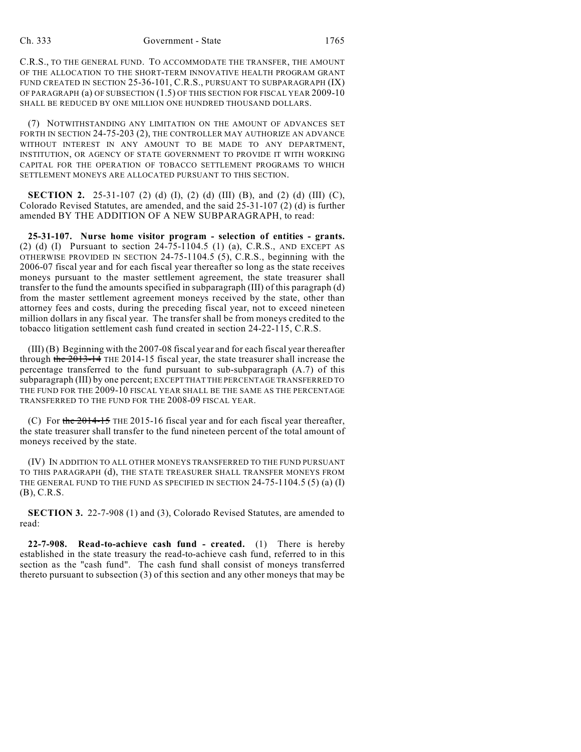C.R.S., TO THE GENERAL FUND. TO ACCOMMODATE THE TRANSFER, THE AMOUNT OF THE ALLOCATION TO THE SHORT-TERM INNOVATIVE HEALTH PROGRAM GRANT FUND CREATED IN SECTION 25-36-101, C.R.S., PURSUANT TO SUBPARAGRAPH (IX) OF PARAGRAPH (a) OF SUBSECTION (1.5) OF THIS SECTION FOR FISCAL YEAR 2009-10 SHALL BE REDUCED BY ONE MILLION ONE HUNDRED THOUSAND DOLLARS.

(7) NOTWITHSTANDING ANY LIMITATION ON THE AMOUNT OF ADVANCES SET FORTH IN SECTION 24-75-203 (2), THE CONTROLLER MAY AUTHORIZE AN ADVANCE WITHOUT INTEREST IN ANY AMOUNT TO BE MADE TO ANY DEPARTMENT, INSTITUTION, OR AGENCY OF STATE GOVERNMENT TO PROVIDE IT WITH WORKING CAPITAL FOR THE OPERATION OF TOBACCO SETTLEMENT PROGRAMS TO WHICH SETTLEMENT MONEYS ARE ALLOCATED PURSUANT TO THIS SECTION.

**SECTION 2.** 25-31-107 (2) (d) (I), (2) (d) (III) (B), and (2) (d) (III) (C), Colorado Revised Statutes, are amended, and the said 25-31-107 (2) (d) is further amended BY THE ADDITION OF A NEW SUBPARAGRAPH, to read:

**25-31-107. Nurse home visitor program - selection of entities - grants.** (2) (d) (I) Pursuant to section 24-75-1104.5 (1) (a), C.R.S., AND EXCEPT AS OTHERWISE PROVIDED IN SECTION 24-75-1104.5 (5), C.R.S., beginning with the 2006-07 fiscal year and for each fiscal year thereafter so long as the state receives moneys pursuant to the master settlement agreement, the state treasurer shall transfer to the fund the amounts specified in subparagraph (III) of this paragraph (d) from the master settlement agreement moneys received by the state, other than attorney fees and costs, during the preceding fiscal year, not to exceed nineteen million dollars in any fiscal year. The transfer shall be from moneys credited to the tobacco litigation settlement cash fund created in section 24-22-115, C.R.S.

(III) (B) Beginning with the 2007-08 fiscal year and for each fiscal year thereafter through the 2013-14 THE 2014-15 fiscal year, the state treasurer shall increase the percentage transferred to the fund pursuant to sub-subparagraph (A.7) of this subparagraph (III) by one percent; EXCEPT THAT THE PERCENTAGE TRANSFERRED TO THE FUND FOR THE 2009-10 FISCAL YEAR SHALL BE THE SAME AS THE PERCENTAGE TRANSFERRED TO THE FUND FOR THE 2008-09 FISCAL YEAR.

(C) For the  $2014-15$  THE 2015-16 fiscal year and for each fiscal year thereafter, the state treasurer shall transfer to the fund nineteen percent of the total amount of moneys received by the state.

(IV) IN ADDITION TO ALL OTHER MONEYS TRANSFERRED TO THE FUND PURSUANT TO THIS PARAGRAPH (d), THE STATE TREASURER SHALL TRANSFER MONEYS FROM THE GENERAL FUND TO THE FUND AS SPECIFIED IN SECTION  $24-75-1104.5$  (5) (a) (I) (B), C.R.S.

**SECTION 3.** 22-7-908 (1) and (3), Colorado Revised Statutes, are amended to read:

**22-7-908. Read-to-achieve cash fund - created.** (1) There is hereby established in the state treasury the read-to-achieve cash fund, referred to in this section as the "cash fund". The cash fund shall consist of moneys transferred thereto pursuant to subsection (3) of this section and any other moneys that may be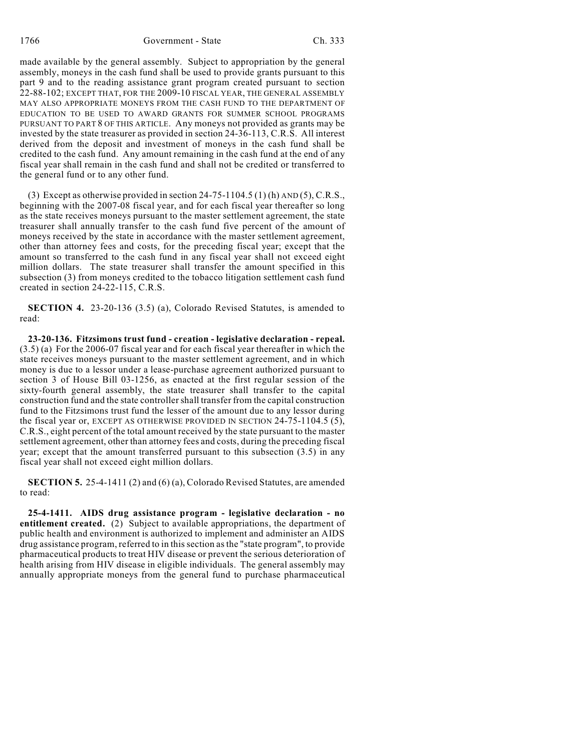1766 Government - State Ch. 333

made available by the general assembly. Subject to appropriation by the general assembly, moneys in the cash fund shall be used to provide grants pursuant to this part 9 and to the reading assistance grant program created pursuant to section 22-88-102; EXCEPT THAT, FOR THE 2009-10 FISCAL YEAR, THE GENERAL ASSEMBLY MAY ALSO APPROPRIATE MONEYS FROM THE CASH FUND TO THE DEPARTMENT OF EDUCATION TO BE USED TO AWARD GRANTS FOR SUMMER SCHOOL PROGRAMS PURSUANT TO PART 8 OF THIS ARTICLE. Any moneys not provided as grants may be invested by the state treasurer as provided in section 24-36-113, C.R.S. All interest derived from the deposit and investment of moneys in the cash fund shall be credited to the cash fund. Any amount remaining in the cash fund at the end of any fiscal year shall remain in the cash fund and shall not be credited or transferred to the general fund or to any other fund.

(3) Except as otherwise provided in section  $24-75-1104.5$  (1) (h) AND (5), C.R.S., beginning with the 2007-08 fiscal year, and for each fiscal year thereafter so long as the state receives moneys pursuant to the master settlement agreement, the state treasurer shall annually transfer to the cash fund five percent of the amount of moneys received by the state in accordance with the master settlement agreement, other than attorney fees and costs, for the preceding fiscal year; except that the amount so transferred to the cash fund in any fiscal year shall not exceed eight million dollars. The state treasurer shall transfer the amount specified in this subsection (3) from moneys credited to the tobacco litigation settlement cash fund created in section 24-22-115, C.R.S.

**SECTION 4.** 23-20-136 (3.5) (a), Colorado Revised Statutes, is amended to read:

**23-20-136. Fitzsimons trust fund - creation - legislative declaration - repeal.** (3.5) (a) For the 2006-07 fiscal year and for each fiscal year thereafter in which the state receives moneys pursuant to the master settlement agreement, and in which money is due to a lessor under a lease-purchase agreement authorized pursuant to section 3 of House Bill 03-1256, as enacted at the first regular session of the sixty-fourth general assembly, the state treasurer shall transfer to the capital construction fund and the state controller shall transfer from the capital construction fund to the Fitzsimons trust fund the lesser of the amount due to any lessor during the fiscal year or, EXCEPT AS OTHERWISE PROVIDED IN SECTION 24-75-1104.5 (5), C.R.S., eight percent of the total amount received by the state pursuant to the master settlement agreement, other than attorney fees and costs, during the preceding fiscal year; except that the amount transferred pursuant to this subsection (3.5) in any fiscal year shall not exceed eight million dollars.

**SECTION 5.** 25-4-1411 (2) and (6) (a), Colorado Revised Statutes, are amended to read:

**25-4-1411. AIDS drug assistance program - legislative declaration - no entitlement created.** (2) Subject to available appropriations, the department of public health and environment is authorized to implement and administer an AIDS drug assistance program, referred to in this section as the "state program", to provide pharmaceutical products to treat HIV disease or prevent the serious deterioration of health arising from HIV disease in eligible individuals. The general assembly may annually appropriate moneys from the general fund to purchase pharmaceutical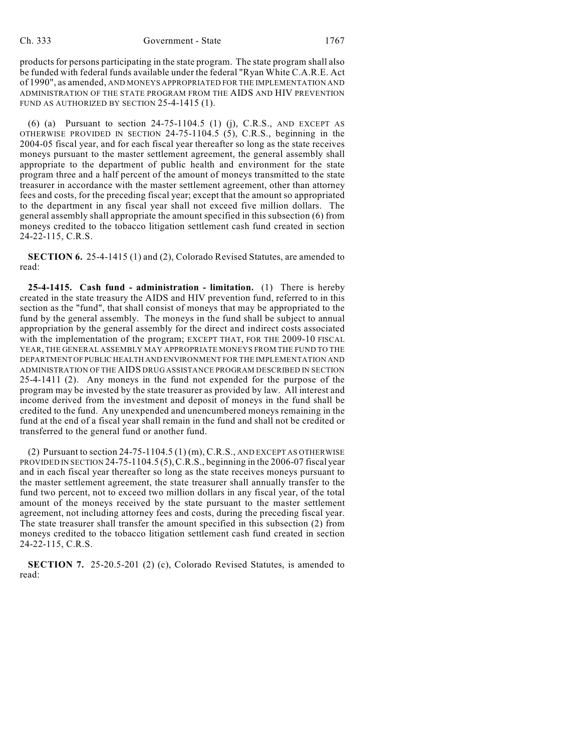products for persons participating in the state program. The state program shall also be funded with federal funds available under the federal "Ryan White C.A.R.E. Act of 1990", as amended, AND MONEYS APPROPRIATED FOR THE IMPLEMENTATION AND ADMINISTRATION OF THE STATE PROGRAM FROM THE AIDS AND HIV PREVENTION FUND AS AUTHORIZED BY SECTION 25-4-1415 (1).

(6) (a) Pursuant to section  $24-75-1104.5$  (1) (j), C.R.S., AND EXCEPT AS OTHERWISE PROVIDED IN SECTION 24-75-1104.5 (5), C.R.S., beginning in the 2004-05 fiscal year, and for each fiscal year thereafter so long as the state receives moneys pursuant to the master settlement agreement, the general assembly shall appropriate to the department of public health and environment for the state program three and a half percent of the amount of moneys transmitted to the state treasurer in accordance with the master settlement agreement, other than attorney fees and costs, for the preceding fiscal year; except that the amount so appropriated to the department in any fiscal year shall not exceed five million dollars. The general assembly shall appropriate the amount specified in this subsection (6) from moneys credited to the tobacco litigation settlement cash fund created in section 24-22-115, C.R.S.

**SECTION 6.** 25-4-1415 (1) and (2), Colorado Revised Statutes, are amended to read:

**25-4-1415. Cash fund - administration - limitation.** (1) There is hereby created in the state treasury the AIDS and HIV prevention fund, referred to in this section as the "fund", that shall consist of moneys that may be appropriated to the fund by the general assembly. The moneys in the fund shall be subject to annual appropriation by the general assembly for the direct and indirect costs associated with the implementation of the program; EXCEPT THAT, FOR THE 2009-10 FISCAL YEAR, THE GENERAL ASSEMBLY MAY APPROPRIATE MONEYS FROM THE FUND TO THE DEPARTMENT OF PUBLIC HEALTH AND ENVIRONMENT FOR THE IMPLEMENTATION AND ADMINISTRATION OF THE AIDS DRUG ASSISTANCE PROGRAM DESCRIBED IN SECTION 25-4-1411 (2). Any moneys in the fund not expended for the purpose of the program may be invested by the state treasurer as provided by law. All interest and income derived from the investment and deposit of moneys in the fund shall be credited to the fund. Any unexpended and unencumbered moneys remaining in the fund at the end of a fiscal year shall remain in the fund and shall not be credited or transferred to the general fund or another fund.

(2) Pursuant to section 24-75-1104.5 (1) (m), C.R.S., AND EXCEPT AS OTHERWISE PROVIDED IN SECTION 24-75-1104.5(5), C.R.S., beginning in the 2006-07 fiscal year and in each fiscal year thereafter so long as the state receives moneys pursuant to the master settlement agreement, the state treasurer shall annually transfer to the fund two percent, not to exceed two million dollars in any fiscal year, of the total amount of the moneys received by the state pursuant to the master settlement agreement, not including attorney fees and costs, during the preceding fiscal year. The state treasurer shall transfer the amount specified in this subsection (2) from moneys credited to the tobacco litigation settlement cash fund created in section 24-22-115, C.R.S.

**SECTION 7.** 25-20.5-201 (2) (c), Colorado Revised Statutes, is amended to read: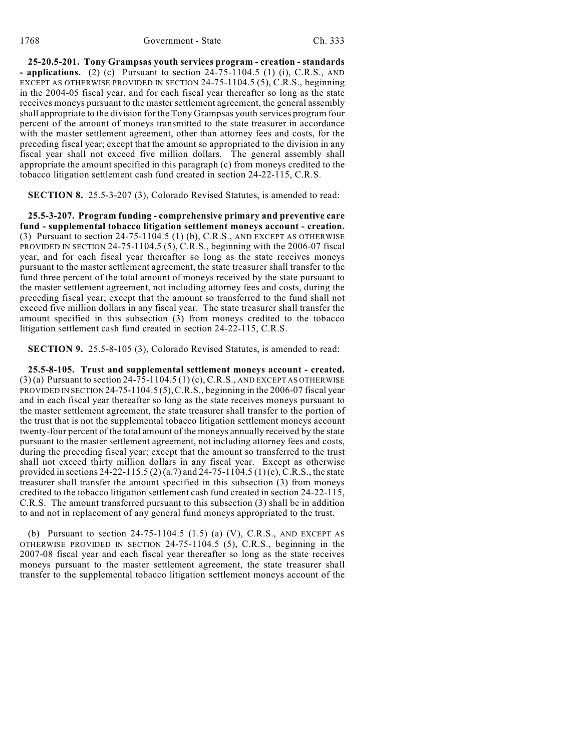**25-20.5-201. Tony Grampsas youth services program - creation - standards - applications.** (2) (c) Pursuant to section 24-75-1104.5 (1) (i), C.R.S., AND EXCEPT AS OTHERWISE PROVIDED IN SECTION 24-75-1104.5 (5), C.R.S., beginning in the 2004-05 fiscal year, and for each fiscal year thereafter so long as the state receives moneys pursuant to the master settlement agreement, the general assembly shall appropriate to the division for the Tony Grampsas youth services program four percent of the amount of moneys transmitted to the state treasurer in accordance with the master settlement agreement, other than attorney fees and costs, for the preceding fiscal year; except that the amount so appropriated to the division in any fiscal year shall not exceed five million dollars. The general assembly shall appropriate the amount specified in this paragraph (c) from moneys credited to the tobacco litigation settlement cash fund created in section 24-22-115, C.R.S.

**SECTION 8.** 25.5-3-207 (3), Colorado Revised Statutes, is amended to read:

**25.5-3-207. Program funding - comprehensive primary and preventive care fund - supplemental tobacco litigation settlement moneys account - creation.** (3) Pursuant to section 24-75-1104.5 (1) (b), C.R.S., AND EXCEPT AS OTHERWISE PROVIDED IN SECTION 24-75-1104.5 (5), C.R.S., beginning with the 2006-07 fiscal year, and for each fiscal year thereafter so long as the state receives moneys pursuant to the master settlement agreement, the state treasurer shall transfer to the fund three percent of the total amount of moneys received by the state pursuant to the master settlement agreement, not including attorney fees and costs, during the preceding fiscal year; except that the amount so transferred to the fund shall not exceed five million dollars in any fiscal year. The state treasurer shall transfer the amount specified in this subsection (3) from moneys credited to the tobacco litigation settlement cash fund created in section 24-22-115, C.R.S.

**SECTION 9.** 25.5-8-105 (3), Colorado Revised Statutes, is amended to read:

**25.5-8-105. Trust and supplemental settlement moneys account - created.**  $(3)$  (a) Pursuant to section 24-75-1104.5 (1) (c), C.R.S., AND EXCEPT AS OTHERWISE PROVIDED IN SECTION 24-75-1104.5  $(5)$ , C.R.S., beginning in the 2006-07 fiscal year and in each fiscal year thereafter so long as the state receives moneys pursuant to the master settlement agreement, the state treasurer shall transfer to the portion of the trust that is not the supplemental tobacco litigation settlement moneys account twenty-four percent of the total amount of the moneys annually received by the state pursuant to the master settlement agreement, not including attorney fees and costs, during the preceding fiscal year; except that the amount so transferred to the trust shall not exceed thirty million dollars in any fiscal year. Except as otherwise provided in sections 24-22-115.5 (2) (a.7) and 24-75-1104.5 (1) (c), C.R.S., the state treasurer shall transfer the amount specified in this subsection (3) from moneys credited to the tobacco litigation settlement cash fund created in section 24-22-115, C.R.S. The amount transferred pursuant to this subsection (3) shall be in addition to and not in replacement of any general fund moneys appropriated to the trust.

(b) Pursuant to section  $24-75-1104.5$  (1.5) (a) (V), C.R.S., AND EXCEPT AS OTHERWISE PROVIDED IN SECTION 24-75-1104.5 (5), C.R.S., beginning in the 2007-08 fiscal year and each fiscal year thereafter so long as the state receives moneys pursuant to the master settlement agreement, the state treasurer shall transfer to the supplemental tobacco litigation settlement moneys account of the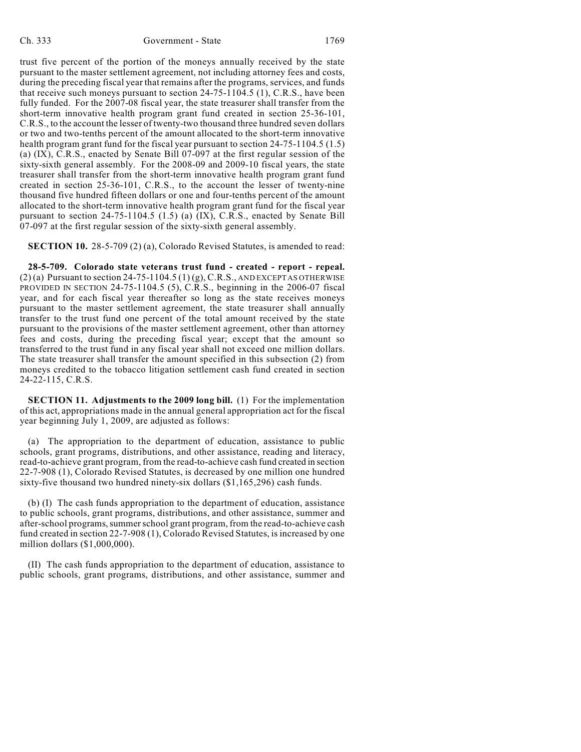trust five percent of the portion of the moneys annually received by the state pursuant to the master settlement agreement, not including attorney fees and costs, during the preceding fiscal year that remains after the programs, services, and funds that receive such moneys pursuant to section 24-75-1104.5 (1), C.R.S., have been fully funded. For the 2007-08 fiscal year, the state treasurer shall transfer from the short-term innovative health program grant fund created in section 25-36-101, C.R.S., to the account the lesser of twenty-two thousand three hundred seven dollars or two and two-tenths percent of the amount allocated to the short-term innovative health program grant fund for the fiscal year pursuant to section 24-75-1104.5 (1.5) (a) (IX), C.R.S., enacted by Senate Bill 07-097 at the first regular session of the sixty-sixth general assembly. For the 2008-09 and 2009-10 fiscal years, the state treasurer shall transfer from the short-term innovative health program grant fund created in section 25-36-101, C.R.S., to the account the lesser of twenty-nine thousand five hundred fifteen dollars or one and four-tenths percent of the amount allocated to the short-term innovative health program grant fund for the fiscal year pursuant to section 24-75-1104.5 (1.5) (a) (IX), C.R.S., enacted by Senate Bill 07-097 at the first regular session of the sixty-sixth general assembly.

**SECTION 10.** 28-5-709 (2) (a), Colorado Revised Statutes, is amended to read:

**28-5-709. Colorado state veterans trust fund - created - report - repeal.**  $(2)$  (a) Pursuant to section 24-75-1104.5 (1) (g), C.R.S., AND EXCEPT AS OTHERWISE PROVIDED IN SECTION 24-75-1104.5 (5), C.R.S., beginning in the 2006-07 fiscal year, and for each fiscal year thereafter so long as the state receives moneys pursuant to the master settlement agreement, the state treasurer shall annually transfer to the trust fund one percent of the total amount received by the state pursuant to the provisions of the master settlement agreement, other than attorney fees and costs, during the preceding fiscal year; except that the amount so transferred to the trust fund in any fiscal year shall not exceed one million dollars. The state treasurer shall transfer the amount specified in this subsection (2) from moneys credited to the tobacco litigation settlement cash fund created in section 24-22-115, C.R.S.

**SECTION 11. Adjustments to the 2009 long bill.** (1) For the implementation of this act, appropriations made in the annual general appropriation act for the fiscal year beginning July 1, 2009, are adjusted as follows:

(a) The appropriation to the department of education, assistance to public schools, grant programs, distributions, and other assistance, reading and literacy, read-to-achieve grant program, from the read-to-achieve cash fund created in section 22-7-908 (1), Colorado Revised Statutes, is decreased by one million one hundred sixty-five thousand two hundred ninety-six dollars (\$1,165,296) cash funds.

(b) (I) The cash funds appropriation to the department of education, assistance to public schools, grant programs, distributions, and other assistance, summer and after-school programs, summer school grant program, from the read-to-achieve cash fund created in section 22-7-908 (1), Colorado Revised Statutes, is increased by one million dollars (\$1,000,000).

(II) The cash funds appropriation to the department of education, assistance to public schools, grant programs, distributions, and other assistance, summer and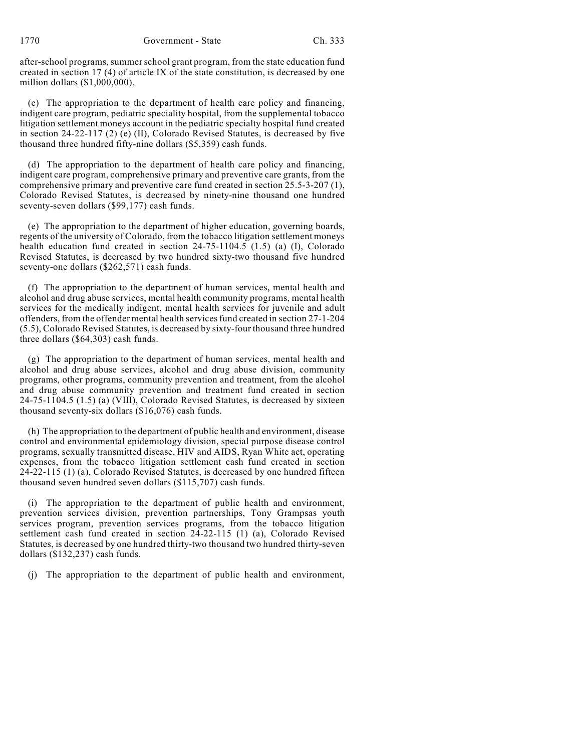1770 Government - State Ch. 333

after-school programs, summer school grant program, from the state education fund created in section 17 (4) of article IX of the state constitution, is decreased by one million dollars (\$1,000,000).

(c) The appropriation to the department of health care policy and financing, indigent care program, pediatric speciality hospital, from the supplemental tobacco litigation settlement moneys account in the pediatric specialty hospital fund created in section 24-22-117 (2) (e) (II), Colorado Revised Statutes, is decreased by five thousand three hundred fifty-nine dollars (\$5,359) cash funds.

(d) The appropriation to the department of health care policy and financing, indigent care program, comprehensive primary and preventive care grants, from the comprehensive primary and preventive care fund created in section 25.5-3-207 (1), Colorado Revised Statutes, is decreased by ninety-nine thousand one hundred seventy-seven dollars (\$99,177) cash funds.

(e) The appropriation to the department of higher education, governing boards, regents of the university of Colorado, from the tobacco litigation settlement moneys health education fund created in section 24-75-1104.5 (1.5) (a) (I), Colorado Revised Statutes, is decreased by two hundred sixty-two thousand five hundred seventy-one dollars (\$262,571) cash funds.

(f) The appropriation to the department of human services, mental health and alcohol and drug abuse services, mental health community programs, mental health services for the medically indigent, mental health services for juvenile and adult offenders, from the offender mental health servicesfund created in section 27-1-204 (5.5), Colorado Revised Statutes, is decreased by sixty-four thousand three hundred three dollars (\$64,303) cash funds.

(g) The appropriation to the department of human services, mental health and alcohol and drug abuse services, alcohol and drug abuse division, community programs, other programs, community prevention and treatment, from the alcohol and drug abuse community prevention and treatment fund created in section 24-75-1104.5 (1.5) (a) (VIII), Colorado Revised Statutes, is decreased by sixteen thousand seventy-six dollars (\$16,076) cash funds.

(h) The appropriation to the department of public health and environment, disease control and environmental epidemiology division, special purpose disease control programs, sexually transmitted disease, HIV and AIDS, Ryan White act, operating expenses, from the tobacco litigation settlement cash fund created in section 24-22-115 (1) (a), Colorado Revised Statutes, is decreased by one hundred fifteen thousand seven hundred seven dollars (\$115,707) cash funds.

(i) The appropriation to the department of public health and environment, prevention services division, prevention partnerships, Tony Grampsas youth services program, prevention services programs, from the tobacco litigation settlement cash fund created in section 24-22-115 (1) (a), Colorado Revised Statutes, is decreased by one hundred thirty-two thousand two hundred thirty-seven dollars (\$132,237) cash funds.

(j) The appropriation to the department of public health and environment,